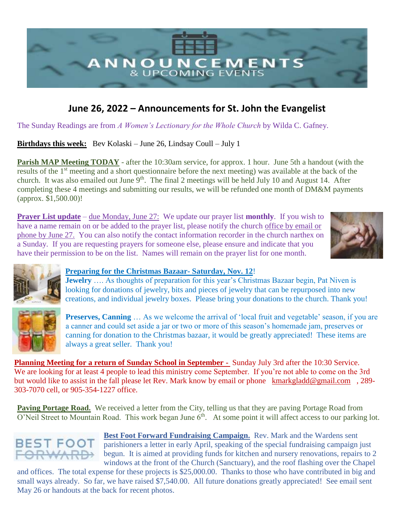

## **June 26, 2022 – Announcements for St. John the Evangelist**

The Sunday Readings are from *A Women's Lectionary for the Whole Church* by Wilda C. Gafney.

**Birthdays this week:** Bev Kolaski – June 26, Lindsay Coull – July 1

**Parish MAP Meeting TODAY** - after the 10:30am service, for approx. 1 hour. June 5th a handout (with the results of the 1<sup>st</sup> meeting and a short questionnaire before the next meeting) was available at the back of the church. It was also emailed out June  $9<sup>th</sup>$ . The final 2 meetings will be held July 10 and August 14. After completing these 4 meetings and submitting our results, we will be refunded one month of DM&M payments (approx. \$1,500.00)!

**Prayer List update** – due Monday, June 27: We update our prayer list **monthly**. If you wish to have a name remain on or be added to the prayer list, please notify the church office by email or phone by June 27. You can also notify the contact information recorder in the church narthex on a Sunday. If you are requesting prayers for someone else, please ensure and indicate that you have their permission to be on the list. Names will remain on the prayer list for one month.







**Jewelry** ..., As thoughts of preparation for this year's Christmas Bazaar begin, Pat Niven is looking for donations of jewelry, bits and pieces of jewelry that can be repurposed into new creations, and individual jewelry boxes. Please bring your donations to the church. Thank you!



**Preserves, Canning** ... As we welcome the arrival of 'local fruit and vegetable' season, if you are a canner and could set aside a jar or two or more of this season's homemade jam, preserves or canning for donation to the Christmas bazaar, it would be greatly appreciated! These items are always a great seller. Thank you!

**Planning Meeting for a return of Sunday School in September -** Sunday July 3rd after the 10:30 Service. We are looking for at least 4 people to lead this ministry come September. If you're not able to come on the 3rd but would like to assist in the fall please let Rev. Mark know by email or phone [kmarkgladd@gmail.com](mailto:kmarkgladd@gmail.com) , 289-303-7070 cell, or 905-354-1227 office.

Paving Portage Road. We received a letter from the City, telling us that they are paving Portage Road from  $O'$ Neil Street to Mountain Road. This work began June  $6<sup>th</sup>$ . At some point it will affect access to our parking lot.



**Best Foot Forward Fundraising Campaign.** Rev. Mark and the Wardens sent parishioners a letter in early April, speaking of the special fundraising campaign just begun. It is aimed at providing funds for kitchen and nursery renovations, repairs to 2 windows at the front of the Church (Sanctuary), and the roof flashing over the Chapel

and offices. The total expense for these projects is \$25,000.00. Thanks to those who have contributed in big and small ways already. So far, we have raised \$7,540.00. All future donations greatly appreciated! See email sent May 26 or handouts at the back for recent photos.